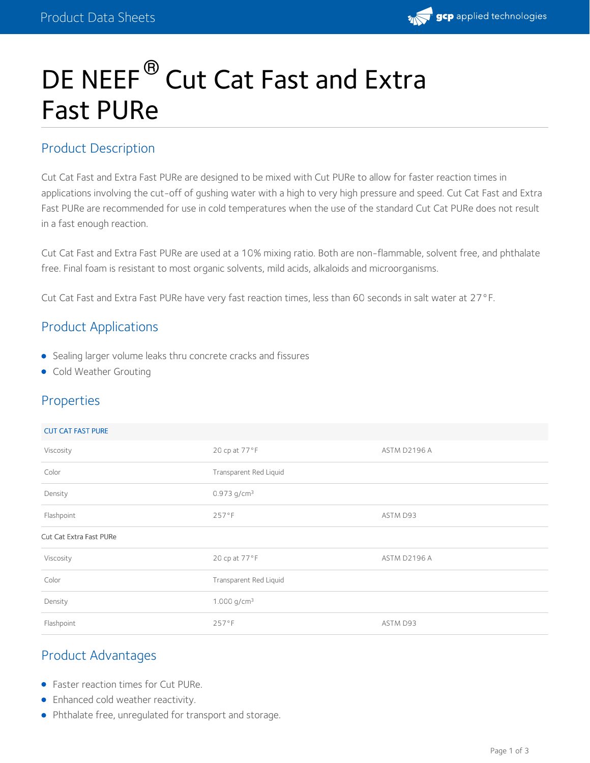

# DE NEEF<sup>®</sup> Cut Cat Fast and Extra Fast PURe

#### Product Description

Cut Cat Fast and Extra Fast PURe are designed to be mixed with Cut PURe to allow for faster reaction times in applications involving the cut-off of gushing water with a high to very high pressure and speed. Cut Cat Fast and Extra Fast PURe are recommended for use in cold temperatures when the use of the standard Cut Cat PURe does not result in a fast enough reaction.

Cut Cat Fast and Extra Fast PURe are used at a 10% mixing ratio. Both are non-flammable, solvent free, and phthalate free. Final foam is resistant to most organic solvents, mild acids, alkaloids and microorganisms.

Cut Cat Fast and Extra Fast PURe have very fast reaction times, less than 60 seconds in salt water at 27°F.

# Product Applications

- Sealing larger volume leaks thru concrete cracks and fissures
- **Cold Weather Grouting**

## Properties

| <b>CUT CAT FAST PURE</b> |
|--------------------------|
|--------------------------|

| Viscosity               | 20 cp at 77°F             | ASTM D2196 A |
|-------------------------|---------------------------|--------------|
| Color                   | Transparent Red Liquid    |              |
| Density                 | $0.973$ g/cm <sup>3</sup> |              |
| Flashpoint              | 257°F                     | ASTM D93     |
| Cut Cat Extra Fast PURe |                           |              |
| Viscosity               | 20 cp at 77°F             | ASTM D2196 A |
| Color                   | Transparent Red Liquid    |              |
| Density                 | 1.000 $g/cm^3$            |              |
| Flashpoint              | 257°F                     | ASTM D93     |

## Product Advantages

- Faster reaction times for Cut PURe.
- **•** Enhanced cold weather reactivity.
- Phthalate free, unregulated for transport and storage.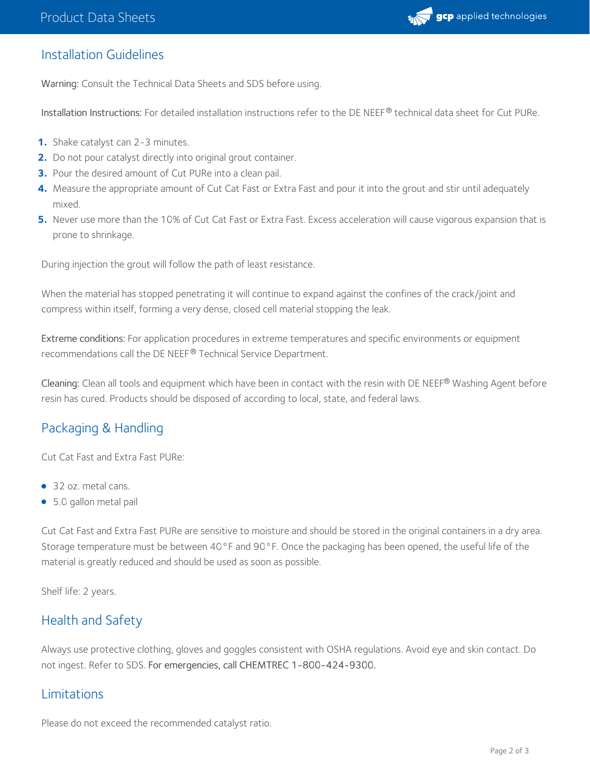

#### Installation Guidelines

Warning: Consult the Technical Data Sheets and SDS before using.

Installation Instructions: For detailed installation instructions refer to the DE NEEF® technical data sheet for Cut PURe.

- **1.** Shake catalyst can 2-3 minutes.
- **2.** Do not pour catalyst directly into original grout container.
- **3.** Pour the desired amount of Cut PURe into a clean pail.
- Measure the appropriate amount of Cut Cat Fast or Extra Fast and pour it into the grout and stir until adequately mixed. **4.**
- Never use more than the 10% of Cut Cat Fast or Extra Fast. Excess acceleration will cause vigorous expansion that is prone to shrinkage. **5.**

During injection the grout will follow the path of least resistance.

When the material has stopped penetrating it will continue to expand against the confines of the crack/joint and compress within itself, forming a very dense, closed cell material stopping the leak.

Extreme conditions: For application procedures in extreme temperatures and specific environments or equipment recommendations call the DE NEEF® Technical Service Department.

**Cleaning:** Clean all tools and equipment which have been in contact with the resin with DE NEEF® Washing Agent before resin has cured. Products should be disposed of according to local, state, and federal laws.

## Packaging & Handling

Cut Cat Fast and Extra Fast PURe:

- 32 oz. metal cans.
- 5.0 gallon metal pail

Cut Cat Fast and Extra Fast PURe are sensitive to moisture and should be stored in the original containers in a dry area. Storage temperature must be between 40°F and 90°F. Once the packaging has been opened, the useful life of the material is greatly reduced and should be used as soon as possible.

Shelf life: 2 years.

#### Health and Safety

Always use protective clothing, gloves and goggles consistent with OSHA regulations. Avoid eye and skin contact. Do not ingest. Refer to SDS. For emergencies, call CHEMTREC 1-800-424-9300.

#### Limitations

Please do not exceed the recommended catalyst ratio.